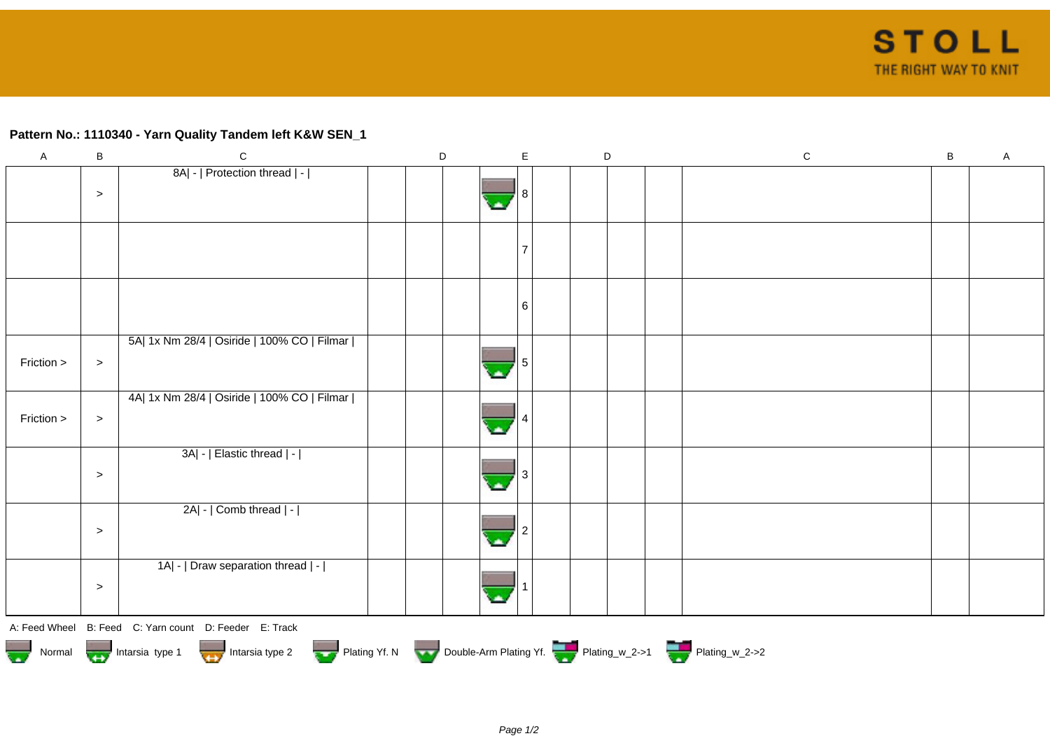## **Pattern No.: 1110340 - Yarn Quality Tandem left K&W SEN\_1**

| $\mathsf A$             | $\sf B$ | $\mathbf C$                                                                            | $\mathsf D$ |  | $\mathsf E$ | $\mathsf D$ |  | ${\bf C}$ | $\, {\bf B}$ | A |  |
|-------------------------|---------|----------------------------------------------------------------------------------------|-------------|--|-------------|-------------|--|-----------|--------------|---|--|
|                         | $\,>$   | 8A  -   Protection thread   -                                                          |             |  |             |             |  |           |              |   |  |
|                         |         |                                                                                        |             |  |             |             |  |           |              |   |  |
|                         |         |                                                                                        |             |  | 6           |             |  |           |              |   |  |
| Friction >              | $\,>$   | 5A  1x Nm 28/4   Osiride   100% CO   Filmar                                            |             |  |             |             |  |           |              |   |  |
| Friction >              | $\geq$  | 4A  1x Nm 28/4   Osiride   100% CO   Filmar                                            |             |  |             |             |  |           |              |   |  |
|                         | $\,>$   | 3A  -   Elastic thread   -                                                             |             |  |             |             |  |           |              |   |  |
|                         | $\geq$  | 2A  -   Comb thread   -                                                                |             |  |             |             |  |           |              |   |  |
|                         | $\,>$   | 1A  -   Draw separation thread   -                                                     |             |  |             |             |  |           |              |   |  |
|                         |         | A: Feed Wheel B: Feed C: Yarn count D: Feeder E: Track                                 |             |  |             |             |  |           |              |   |  |
| $\overline{\mathbf{w}}$ |         | Normal <b>Double-Arm Plating Yf. N</b> Double-Arm Plating Yf. N Double-Arm Plating Yf. |             |  |             |             |  |           |              |   |  |